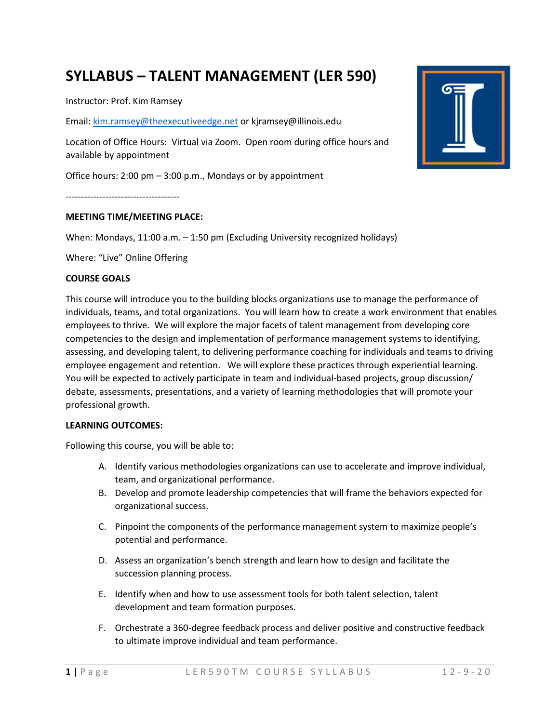# **SYLLABUS – TALENT MANAGEMENT (LER 590)**

Instructor: Prof. Kim Ramsey

Email: kim.ramsey@theexecutiveedge.net or kjramsey@illinois.edu

Location of Office Hours: Virtual via Zoom. Open room during office hours and available by appointment

Office hours: 2:00 pm – 3:00 p.m., Mondays or by appointment

-------------------------------------

#### **MEETING TIME/MEETING PLACE:**

When: Mondays, 11:00 a.m. – 1:50 pm (Excluding University recognized holidays)

Where: "Live" Online Offering

#### **COURSE GOALS**

This course will introduce you to the building blocks organizations use to manage the performance of individuals, teams, and total organizations. You will learn how to create a work environment that enables employees to thrive. We will explore the major facets of talent management from developing core competencies to the design and implementation of performance management systems to identifying, assessing, and developing talent, to delivering performance coaching for individuals and teams to driving employee engagement and retention. We will explore these practices through experiential learning. You will be expected to actively participate in team and individual-based projects, group discussion/ debate, assessments, presentations, and a variety of learning methodologies that will promote your professional growth.

#### **LEARNING OUTCOMES:**

Following this course, you will be able to:

- A. Identify various methodologies organizations can use to accelerate and improve individual, team, and organizational performance.
- B. Develop and promote leadership competencies that will frame the behaviors expected for organizational success.
- C. Pinpoint the components of the performance management system to maximize people's potential and performance.
- D. Assess an organization's bench strength and learn how to design and facilitate the succession planning process.
- E. Identify when and how to use assessment tools for both talent selection, talent development and team formation purposes.
- F. Orchestrate a 360-degree feedback process and deliver positive and constructive feedback to ultimate improve individual and team performance.

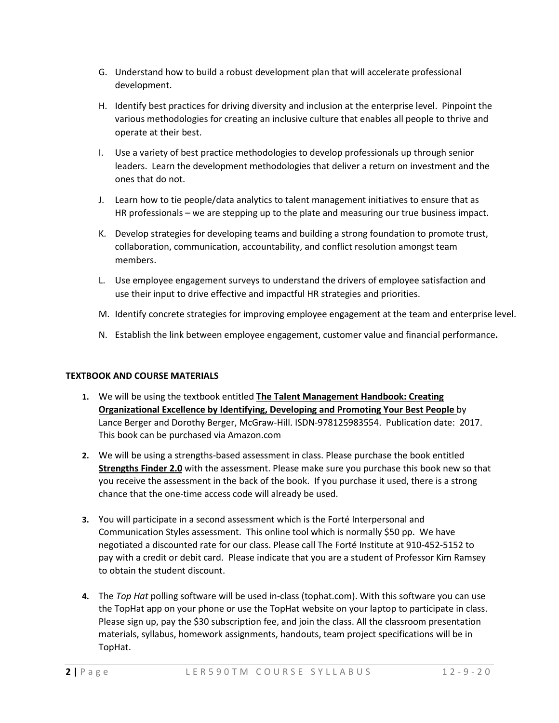- G. Understand how to build a robust development plan that will accelerate professional development.
- H. Identify best practices for driving diversity and inclusion at the enterprise level. Pinpoint the various methodologies for creating an inclusive culture that enables all people to thrive and operate at their best.
- I. Use a variety of best practice methodologies to develop professionals up through senior leaders. Learn the development methodologies that deliver a return on investment and the ones that do not.
- J. Learn how to tie people/data analytics to talent management initiatives to ensure that as HR professionals – we are stepping up to the plate and measuring our true business impact.
- K. Develop strategies for developing teams and building a strong foundation to promote trust, collaboration, communication, accountability, and conflict resolution amongst team members.
- L. Use employee engagement surveys to understand the drivers of employee satisfaction and use their input to drive effective and impactful HR strategies and priorities.
- M. Identify concrete strategies for improving employee engagement at the team and enterprise level.
- N. Establish the link between employee engagement, customer value and financial performance**.**

#### **TEXTBOOK AND COURSE MATERIALS**

- **1.** We will be using the textbook entitled **The Talent Management Handbook: Creating Organizational Excellence by Identifying, Developing and Promoting Your Best People** by Lance Berger and Dorothy Berger, McGraw-Hill. ISDN-978125983554. Publication date: 2017. This book can be purchased via Amazon.com
- **2.** We will be using a strengths-based assessment in class. Please purchase the book entitled **Strengths Finder 2.0** with the assessment. Please make sure you purchase this book new so that you receive the assessment in the back of the book. If you purchase it used, there is a strong chance that the one-time access code will already be used.
- **3.** You will participate in a second assessment which is the Forté Interpersonal and Communication Styles assessment. This online tool which is normally \$50 pp. We have negotiated a discounted rate for our class. Please call The Forté Institute at 910-452-5152 to pay with a credit or debit card. Please indicate that you are a student of Professor Kim Ramsey to obtain the student discount.
- **4.** The *Top Hat* polling software will be used in-class (tophat.com). With this software you can use the TopHat app on your phone or use the TopHat website on your laptop to participate in class. Please sign up, pay the \$30 subscription fee, and join the class. All the classroom presentation materials, syllabus, homework assignments, handouts, team project specifications will be in TopHat.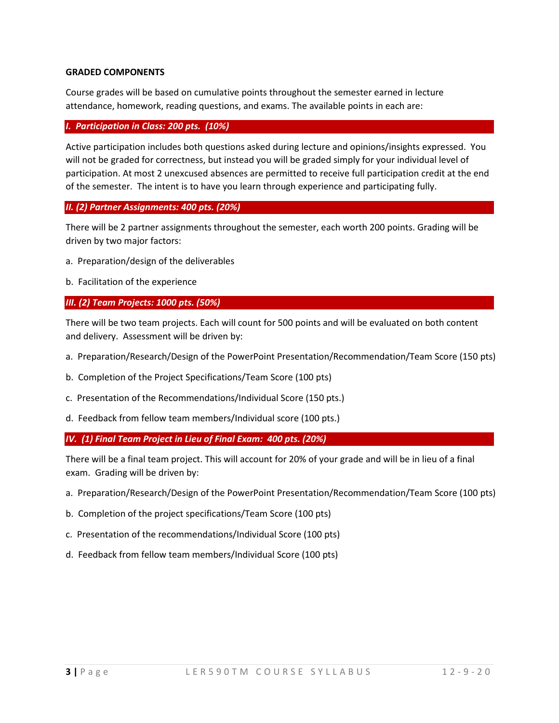#### **GRADED COMPONENTS**

Course grades will be based on cumulative points throughout the semester earned in lecture attendance, homework, reading questions, and exams. The available points in each are:

#### *I. Participation in Class: 200 pts. (10%)*

Active participation includes both questions asked during lecture and opinions/insights expressed. You will not be graded for correctness, but instead you will be graded simply for your individual level of participation. At most 2 unexcused absences are permitted to receive full participation credit at the end of the semester. The intent is to have you learn through experience and participating fully.

#### *II. (2) Partner Assignments: 400 pts. (20%)*

There will be 2 partner assignments throughout the semester, each worth 200 points. Grading will be driven by two major factors:

- a. Preparation/design of the deliverables
- b. Facilitation of the experience

#### *III. (2) Team Projects: 1000 pts. (50%)*

There will be two team projects. Each will count for 500 points and will be evaluated on both content and delivery. Assessment will be driven by:

- a. Preparation/Research/Design of the PowerPoint Presentation/Recommendation/Team Score (150 pts)
- b. Completion of the Project Specifications/Team Score (100 pts)
- c. Presentation of the Recommendations/Individual Score (150 pts.)
- d. Feedback from fellow team members/Individual score (100 pts.)

*IV. (1) Final Team Project in Lieu of Final Exam: 400 pts. (20%)* 

There will be a final team project. This will account for 20% of your grade and will be in lieu of a final exam. Grading will be driven by:

- a. Preparation/Research/Design of the PowerPoint Presentation/Recommendation/Team Score (100 pts)
- b. Completion of the project specifications/Team Score (100 pts)
- c. Presentation of the recommendations/Individual Score (100 pts)
- d. Feedback from fellow team members/Individual Score (100 pts)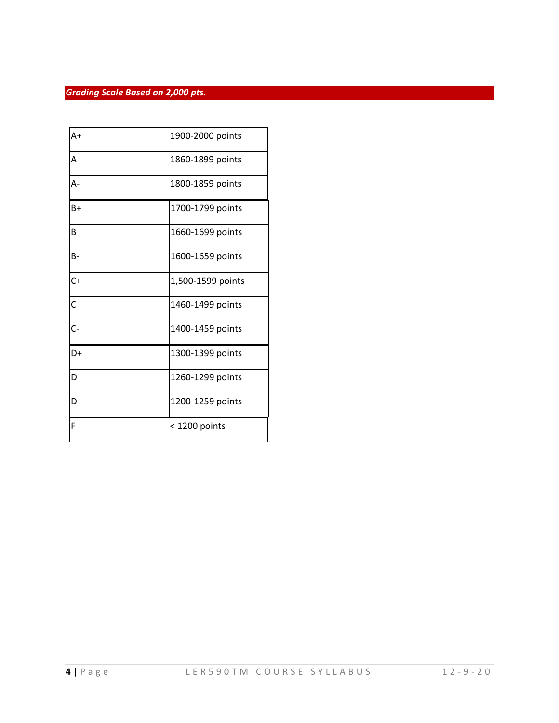### *Grading Scale Based on 2,000 pts.*

| $A+$           | 1900-2000 points  |
|----------------|-------------------|
| A              | 1860-1899 points  |
| А-             | 1800-1859 points  |
| $B+$           | 1700-1799 points  |
| B              | 1660-1699 points  |
| B-             | 1600-1659 points  |
| $C +$          | 1,500-1599 points |
| $\overline{C}$ | 1460-1499 points  |
| $C-$           | 1400-1459 points  |
| D+             | 1300-1399 points  |
| D              | 1260-1299 points  |
| D-             | 1200-1259 points  |
| F              | < 1200 points     |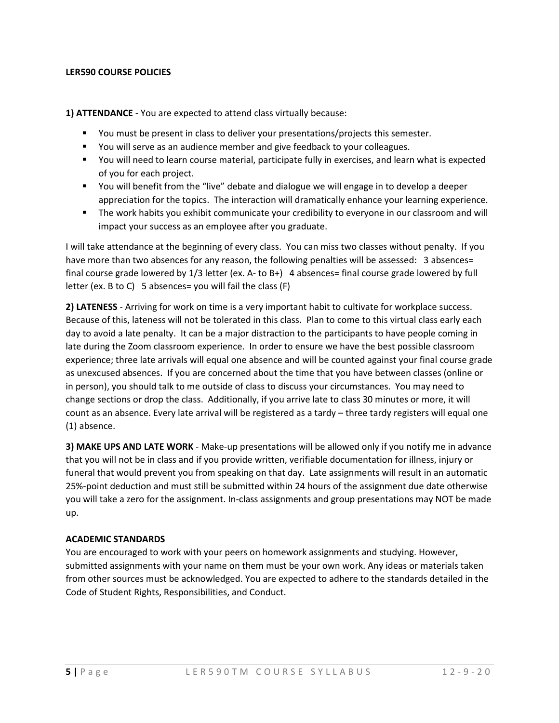#### **LER590 COURSE POLICIES**

**1) ATTENDANCE** - You are expected to attend class virtually because:

- You must be present in class to deliver your presentations/projects this semester.
- You will serve as an audience member and give feedback to your colleagues.
- You will need to learn course material, participate fully in exercises, and learn what is expected of you for each project.
- You will benefit from the "live" debate and dialogue we will engage in to develop a deeper appreciation for the topics. The interaction will dramatically enhance your learning experience.
- The work habits you exhibit communicate your credibility to everyone in our classroom and will impact your success as an employee after you graduate.

I will take attendance at the beginning of every class. You can miss two classes without penalty. If you have more than two absences for any reason, the following penalties will be assessed: 3 absences= final course grade lowered by 1/3 letter (ex. A- to B+) 4 absences= final course grade lowered by full letter (ex. B to C) 5 absences= you will fail the class (F)

**2) LATENESS** - Arriving for work on time is a very important habit to cultivate for workplace success. Because of this, lateness will not be tolerated in this class. Plan to come to this virtual class early each day to avoid a late penalty. It can be a major distraction to the participants to have people coming in late during the Zoom classroom experience. In order to ensure we have the best possible classroom experience; three late arrivals will equal one absence and will be counted against your final course grade as unexcused absences. If you are concerned about the time that you have between classes (online or in person), you should talk to me outside of class to discuss your circumstances. You may need to change sections or drop the class. Additionally, if you arrive late to class 30 minutes or more, it will count as an absence. Every late arrival will be registered as a tardy – three tardy registers will equal one (1) absence.

**3) MAKE UPS AND LATE WORK** - Make-up presentations will be allowed only if you notify me in advance that you will not be in class and if you provide written, verifiable documentation for illness, injury or funeral that would prevent you from speaking on that day. Late assignments will result in an automatic 25%-point deduction and must still be submitted within 24 hours of the assignment due date otherwise you will take a zero for the assignment. In-class assignments and group presentations may NOT be made up.

#### **ACADEMIC STANDARDS**

You are encouraged to work with your peers on homework assignments and studying. However, submitted assignments with your name on them must be your own work. Any ideas or materials taken from other sources must be acknowledged. You are expected to adhere to the standards detailed in the Code of Student Rights, Responsibilities, and Conduct.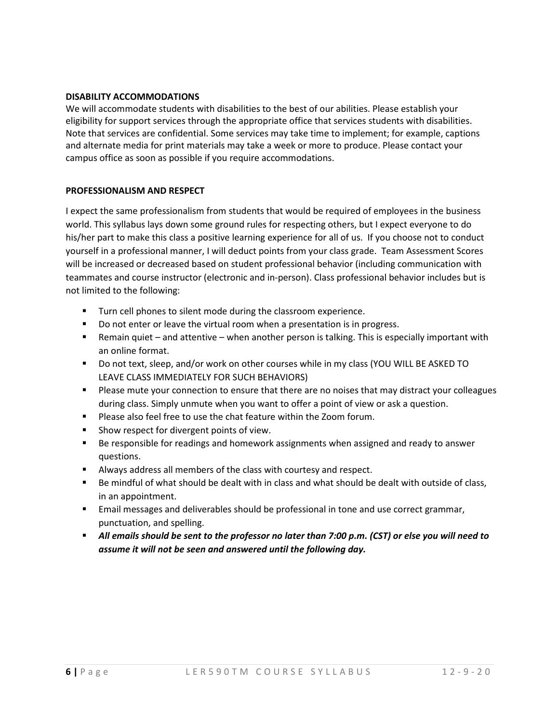#### **DISABILITY ACCOMMODATIONS**

We will accommodate students with disabilities to the best of our abilities. Please establish your eligibility for support services through the appropriate office that services students with disabilities. Note that services are confidential. Some services may take time to implement; for example, captions and alternate media for print materials may take a week or more to produce. Please contact your campus office as soon as possible if you require accommodations.

### **PROFESSIONALISM AND RESPECT**

I expect the same professionalism from students that would be required of employees in the business world. This syllabus lays down some ground rules for respecting others, but I expect everyone to do his/her part to make this class a positive learning experience for all of us. If you choose not to conduct yourself in a professional manner, I will deduct points from your class grade. Team Assessment Scores will be increased or decreased based on student professional behavior (including communication with teammates and course instructor (electronic and in-person). Class professional behavior includes but is not limited to the following:

- **Turn cell phones to silent mode during the classroom experience.**
- Do not enter or leave the virtual room when a presentation is in progress.
- Remain quiet and attentive when another person is talking. This is especially important with an online format.
- Do not text, sleep, and/or work on other courses while in my class (YOU WILL BE ASKED TO LEAVE CLASS IMMEDIATELY FOR SUCH BEHAVIORS)
- **Please mute your connection to ensure that there are no noises that may distract your colleagues** during class. Simply unmute when you want to offer a point of view or ask a question.
- **Please also feel free to use the chat feature within the Zoom forum.**
- **Show respect for divergent points of view.**
- Be responsible for readings and homework assignments when assigned and ready to answer questions.
- Always address all members of the class with courtesy and respect.
- Be mindful of what should be dealt with in class and what should be dealt with outside of class, in an appointment.
- **Email messages and deliverables should be professional in tone and use correct grammar,** punctuation, and spelling.
- *All emails should be sent to the professor no later than 7:00 p.m. (CST) or else you will need to assume it will not be seen and answered until the following day.*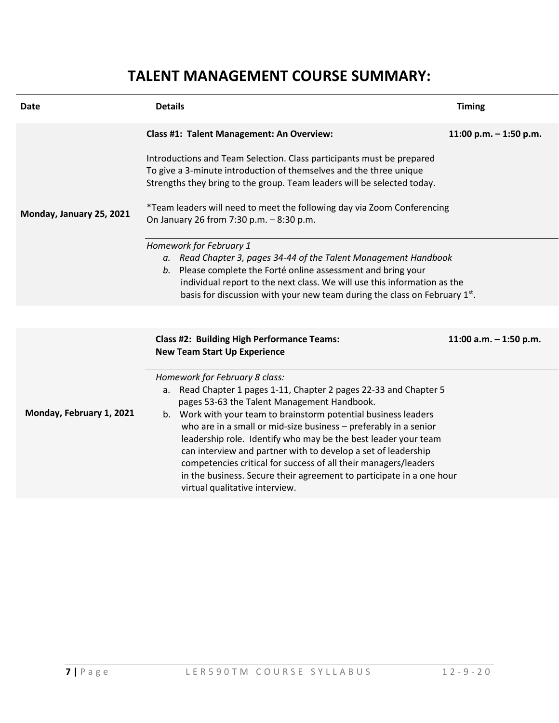# **TALENT MANAGEMENT COURSE SUMMARY:**

| Date                     | <b>Details</b>                                                                                                                                                                                                                                                                                                                                                                                                                                                                                                                                                                                               | <b>Timing</b>            |
|--------------------------|--------------------------------------------------------------------------------------------------------------------------------------------------------------------------------------------------------------------------------------------------------------------------------------------------------------------------------------------------------------------------------------------------------------------------------------------------------------------------------------------------------------------------------------------------------------------------------------------------------------|--------------------------|
| Monday, January 25, 2021 | Class #1: Talent Management: An Overview:<br>Introductions and Team Selection. Class participants must be prepared<br>To give a 3-minute introduction of themselves and the three unique<br>Strengths they bring to the group. Team leaders will be selected today.<br>*Team leaders will need to meet the following day via Zoom Conferencing<br>On January 26 from 7:30 p.m. - 8:30 p.m.                                                                                                                                                                                                                   | 11:00 p.m. $-$ 1:50 p.m. |
|                          | Homework for February 1<br>a. Read Chapter 3, pages 34-44 of the Talent Management Handbook<br>b. Please complete the Forté online assessment and bring your<br>individual report to the next class. We will use this information as the<br>basis for discussion with your new team during the class on February 1st.                                                                                                                                                                                                                                                                                        |                          |
| Monday, February 1, 2021 | <b>Class #2: Building High Performance Teams:</b><br><b>New Team Start Up Experience</b>                                                                                                                                                                                                                                                                                                                                                                                                                                                                                                                     | 11:00 a.m. - 1:50 p.m.   |
|                          | Homework for February 8 class:<br>Read Chapter 1 pages 1-11, Chapter 2 pages 22-33 and Chapter 5<br>а.<br>pages 53-63 the Talent Management Handbook.<br>b. Work with your team to brainstorm potential business leaders<br>who are in a small or mid-size business - preferably in a senior<br>leadership role. Identify who may be the best leader your team<br>can interview and partner with to develop a set of leadership<br>competencies critical for success of all their managers/leaders<br>in the business. Secure their agreement to participate in a one hour<br>virtual qualitative interview. |                          |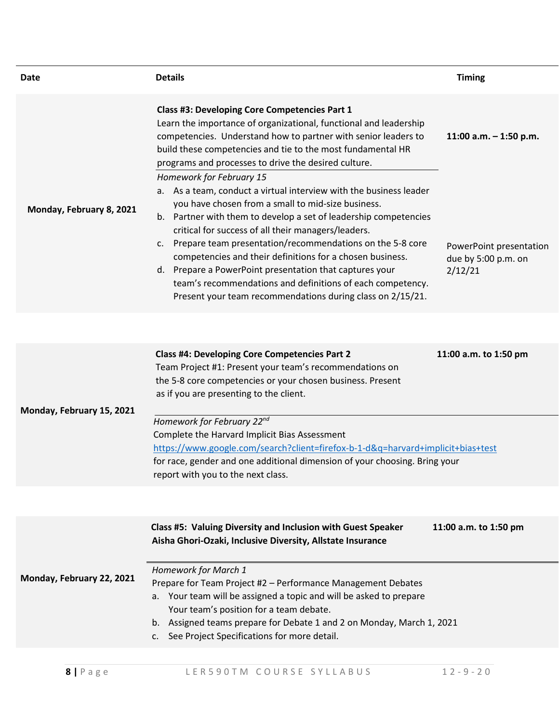| Date                     | <b>Details</b>                                                                                                                                                                                                                                                                                                                                                                                                                                                                                                                                                          | <b>Timing</b>                                             |
|--------------------------|-------------------------------------------------------------------------------------------------------------------------------------------------------------------------------------------------------------------------------------------------------------------------------------------------------------------------------------------------------------------------------------------------------------------------------------------------------------------------------------------------------------------------------------------------------------------------|-----------------------------------------------------------|
|                          | Class #3: Developing Core Competencies Part 1<br>Learn the importance of organizational, functional and leadership<br>competencies. Understand how to partner with senior leaders to<br>build these competencies and tie to the most fundamental HR<br>programs and processes to drive the desired culture.<br>Homework for February 15                                                                                                                                                                                                                                 | 11:00 a.m. $-$ 1:50 p.m.                                  |
| Monday, February 8, 2021 | a. As a team, conduct a virtual interview with the business leader<br>you have chosen from a small to mid-size business.<br>b. Partner with them to develop a set of leadership competencies<br>critical for success of all their managers/leaders.<br>c. Prepare team presentation/recommendations on the 5-8 core<br>competencies and their definitions for a chosen business.<br>d. Prepare a PowerPoint presentation that captures your<br>team's recommendations and definitions of each competency.<br>Present your team recommendations during class on 2/15/21. | PowerPoint presentation<br>due by 5:00 p.m. on<br>2/12/21 |

|                           | <b>Class #4: Developing Core Competencies Part 2</b><br>Team Project #1: Present your team's recommendations on<br>the 5-8 core competencies or your chosen business. Present<br>as if you are presenting to the client. | 11:00 a.m. to 1:50 pm |
|---------------------------|--------------------------------------------------------------------------------------------------------------------------------------------------------------------------------------------------------------------------|-----------------------|
| Monday, February 15, 2021 |                                                                                                                                                                                                                          |                       |
|                           | Homework for February 22 <sup>nd</sup>                                                                                                                                                                                   |                       |
|                           | Complete the Harvard Implicit Bias Assessment                                                                                                                                                                            |                       |
|                           | https://www.google.com/search?client=firefox-b-1-d&q=harvard+implicit+bias+test                                                                                                                                          |                       |
|                           | for race, gender and one additional dimension of your choosing. Bring your                                                                                                                                               |                       |
|                           | report with you to the next class.                                                                                                                                                                                       |                       |

|                           | Class #5: Valuing Diversity and Inclusion with Guest Speaker<br>11:00 a.m. to 1:50 pm<br>Aisha Ghori-Ozaki, Inclusive Diversity, Allstate Insurance                                                                                                                                                                              |
|---------------------------|----------------------------------------------------------------------------------------------------------------------------------------------------------------------------------------------------------------------------------------------------------------------------------------------------------------------------------|
| Monday, February 22, 2021 | Homework for March 1<br>Prepare for Team Project #2 - Performance Management Debates<br>a. Your team will be assigned a topic and will be asked to prepare<br>Your team's position for a team debate.<br>b. Assigned teams prepare for Debate 1 and 2 on Monday, March 1, 2021<br>c. See Project Specifications for more detail. |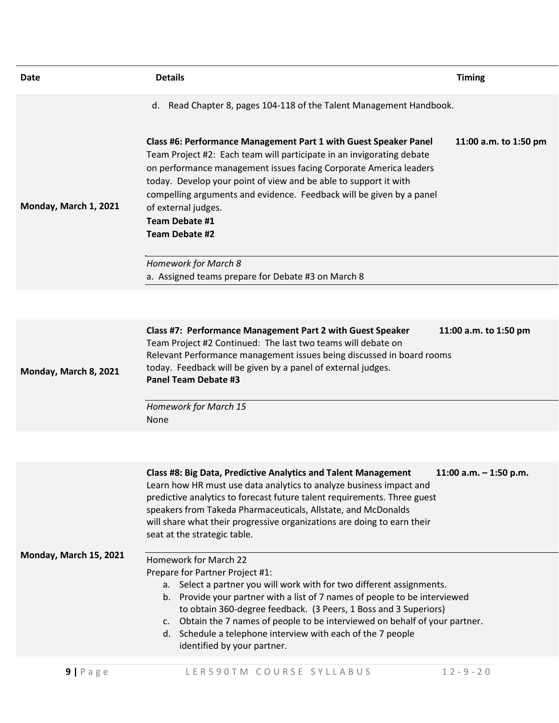| Date                   | <b>Details</b>                                                                                                                                                                                                                                                                                                                                                                                                                                                       | <b>Timing</b>            |
|------------------------|----------------------------------------------------------------------------------------------------------------------------------------------------------------------------------------------------------------------------------------------------------------------------------------------------------------------------------------------------------------------------------------------------------------------------------------------------------------------|--------------------------|
|                        | d. Read Chapter 8, pages 104-118 of the Talent Management Handbook.                                                                                                                                                                                                                                                                                                                                                                                                  |                          |
| Monday, March 1, 2021  | Class #6: Performance Management Part 1 with Guest Speaker Panel<br>Team Project #2: Each team will participate in an invigorating debate<br>on performance management issues facing Corporate America leaders<br>today. Develop your point of view and be able to support it with<br>compelling arguments and evidence. Feedback will be given by a panel<br>of external judges.<br>Team Debate #1<br><b>Team Debate #2</b>                                         | 11:00 a.m. to 1:50 pm    |
|                        | Homework for March 8<br>a. Assigned teams prepare for Debate #3 on March 8                                                                                                                                                                                                                                                                                                                                                                                           |                          |
|                        |                                                                                                                                                                                                                                                                                                                                                                                                                                                                      |                          |
| Monday, March 8, 2021  | Class #7: Performance Management Part 2 with Guest Speaker<br>Team Project #2 Continued: The last two teams will debate on<br>Relevant Performance management issues being discussed in board rooms<br>today. Feedback will be given by a panel of external judges.<br><b>Panel Team Debate #3</b>                                                                                                                                                                   | 11:00 a.m. to 1:50 pm    |
|                        | Homework for March 15<br><b>None</b>                                                                                                                                                                                                                                                                                                                                                                                                                                 |                          |
|                        |                                                                                                                                                                                                                                                                                                                                                                                                                                                                      |                          |
| Monday, March 15, 2021 | Class #8: Big Data, Predictive Analytics and Talent Management<br>Learn how HR must use data analytics to analyze business impact and<br>predictive analytics to forecast future talent requirements. Three guest<br>speakers from Takeda Pharmaceuticals, Allstate, and McDonalds<br>will share what their progressive organizations are doing to earn their<br>seat at the strategic table.                                                                        | 11:00 a.m. $-$ 1:50 p.m. |
|                        | Homework for March 22<br>Prepare for Partner Project #1:<br>a. Select a partner you will work with for two different assignments.<br>b. Provide your partner with a list of 7 names of people to be interviewed<br>to obtain 360-degree feedback. (3 Peers, 1 Boss and 3 Superiors)<br>Obtain the 7 names of people to be interviewed on behalf of your partner.<br>C.<br>d. Schedule a telephone interview with each of the 7 people<br>identified by your partner. |                          |
| $9$   Page             | LER590TM COURSE SYLLABUS                                                                                                                                                                                                                                                                                                                                                                                                                                             | $12 - 9 - 20$            |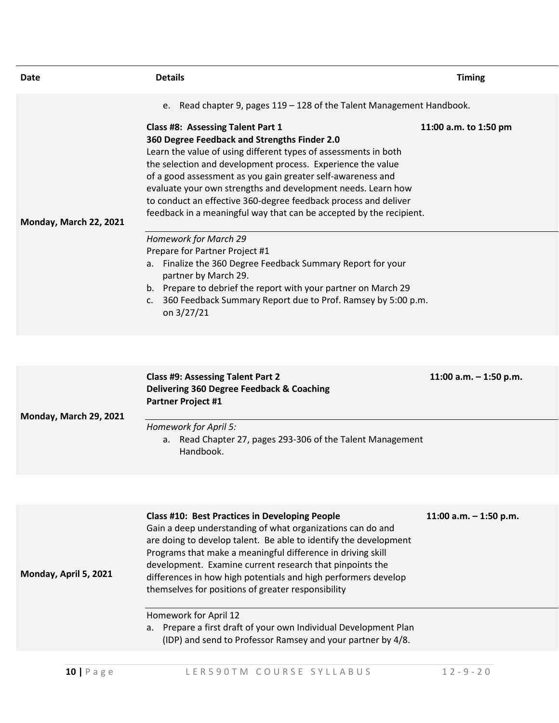| Date                   | <b>Details</b>                                                                                                                                                                                                                                                                                                                                                                                                                                                                               | <b>Timing</b>            |
|------------------------|----------------------------------------------------------------------------------------------------------------------------------------------------------------------------------------------------------------------------------------------------------------------------------------------------------------------------------------------------------------------------------------------------------------------------------------------------------------------------------------------|--------------------------|
|                        | e. Read chapter 9, pages 119 - 128 of the Talent Management Handbook.                                                                                                                                                                                                                                                                                                                                                                                                                        |                          |
| Monday, March 22, 2021 | Class #8: Assessing Talent Part 1<br>360 Degree Feedback and Strengths Finder 2.0<br>Learn the value of using different types of assessments in both<br>the selection and development process. Experience the value<br>of a good assessment as you gain greater self-awareness and<br>evaluate your own strengths and development needs. Learn how<br>to conduct an effective 360-degree feedback process and deliver<br>feedback in a meaningful way that can be accepted by the recipient. | 11:00 a.m. to 1:50 pm    |
|                        | Homework for March 29<br>Prepare for Partner Project #1<br>a. Finalize the 360 Degree Feedback Summary Report for your<br>partner by March 29.<br>b. Prepare to debrief the report with your partner on March 29<br>360 Feedback Summary Report due to Prof. Ramsey by 5:00 p.m.<br>C.<br>on 3/27/21                                                                                                                                                                                         |                          |
|                        |                                                                                                                                                                                                                                                                                                                                                                                                                                                                                              |                          |
| Monday, March 29, 2021 | <b>Class #9: Assessing Talent Part 2</b><br>Delivering 360 Degree Feedback & Coaching<br><b>Partner Project #1</b>                                                                                                                                                                                                                                                                                                                                                                           | 11:00 a.m. $-$ 1:50 p.m. |
|                        | Homework for April 5:<br>a. Read Chapter 27, pages 293-306 of the Talent Management<br>Handbook.                                                                                                                                                                                                                                                                                                                                                                                             |                          |
|                        |                                                                                                                                                                                                                                                                                                                                                                                                                                                                                              |                          |
| Monday, April 5, 2021  | <b>Class #10: Best Practices in Developing People</b><br>Gain a deep understanding of what organizations can do and<br>are doing to develop talent. Be able to identify the development<br>Programs that make a meaningful difference in driving skill<br>development. Examine current research that pinpoints the<br>differences in how high potentials and high performers develop<br>themselves for positions of greater responsibility                                                   | 11:00 a.m. $-$ 1:50 p.m. |
|                        | Homework for April 12<br>Prepare a first draft of your own Individual Development Plan<br>а.<br>(IDP) and send to Professor Ramsey and your partner by 4/8.                                                                                                                                                                                                                                                                                                                                  |                          |
| $10$   P a g e         | LER590TM COURSE SYLLABUS                                                                                                                                                                                                                                                                                                                                                                                                                                                                     | $12 - 9 - 20$            |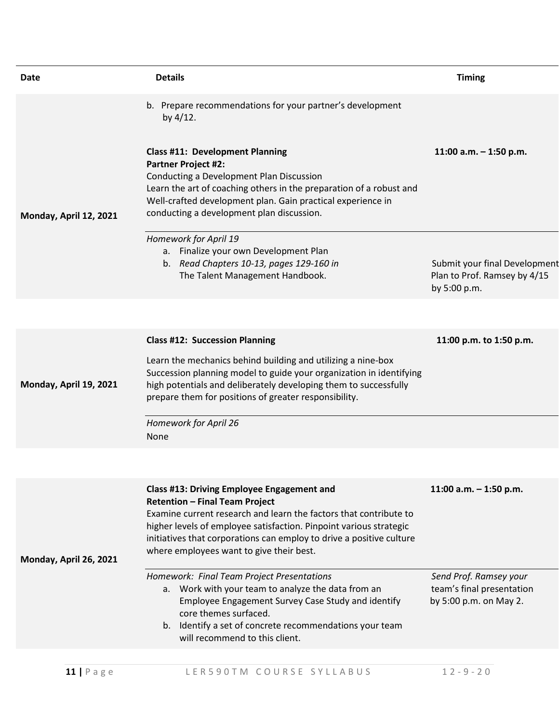| Date                   | <b>Details</b>                                                                                                                                                                                                                                                                                                                                            | <b>Timing</b>                                                                 |
|------------------------|-----------------------------------------------------------------------------------------------------------------------------------------------------------------------------------------------------------------------------------------------------------------------------------------------------------------------------------------------------------|-------------------------------------------------------------------------------|
|                        | b. Prepare recommendations for your partner's development<br>by 4/12.                                                                                                                                                                                                                                                                                     |                                                                               |
| Monday, April 12, 2021 | <b>Class #11: Development Planning</b><br><b>Partner Project #2:</b><br>Conducting a Development Plan Discussion<br>Learn the art of coaching others in the preparation of a robust and<br>Well-crafted development plan. Gain practical experience in<br>conducting a development plan discussion.                                                       | 11:00 a.m. $-$ 1:50 p.m.                                                      |
|                        | Homework for April 19<br>a. Finalize your own Development Plan<br>b. Read Chapters 10-13, pages 129-160 in<br>The Talent Management Handbook.                                                                                                                                                                                                             | Submit your final Development<br>Plan to Prof. Ramsey by 4/15<br>by 5:00 p.m. |
|                        |                                                                                                                                                                                                                                                                                                                                                           |                                                                               |
| Monday, April 19, 2021 | <b>Class #12: Succession Planning</b><br>Learn the mechanics behind building and utilizing a nine-box<br>Succession planning model to guide your organization in identifying<br>high potentials and deliberately developing them to successfully<br>prepare them for positions of greater responsibility.                                                 | 11:00 p.m. to 1:50 p.m.                                                       |
|                        | Homework for April 26<br><b>None</b>                                                                                                                                                                                                                                                                                                                      |                                                                               |
|                        |                                                                                                                                                                                                                                                                                                                                                           |                                                                               |
| Monday, April 26, 2021 | <b>Class #13: Driving Employee Engagement and</b><br><b>Retention - Final Team Project</b><br>Examine current research and learn the factors that contribute to<br>higher levels of employee satisfaction. Pinpoint various strategic<br>initiatives that corporations can employ to drive a positive culture<br>where employees want to give their best. | 11:00 a.m. $-$ 1:50 p.m.                                                      |
|                        | Homework: Final Team Project Presentations<br>a. Work with your team to analyze the data from an<br>Employee Engagement Survey Case Study and identify<br>core themes surfaced.<br>b. Identify a set of concrete recommendations your team<br>will recommend to this client.                                                                              | Send Prof. Ramsey your<br>team's final presentation<br>by 5:00 p.m. on May 2. |
| $11$   Page            | LER590TM COURSE SYLLABUS                                                                                                                                                                                                                                                                                                                                  | $12 - 9 - 20$                                                                 |